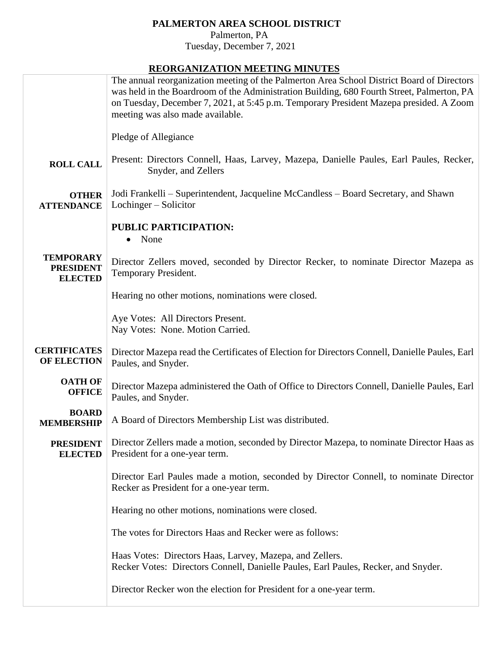## **PALMERTON AREA SCHOOL DISTRICT**

 Palmerton, PA Tuesday, December 7, 2021

## **REORGANIZATION MEETING MINUTES**

|                                           | <u>KEOKUM WEMTION MEETING MINCTED</u><br>The annual reorganization meeting of the Palmerton Area School District Board of Directors            |  |  |  |
|-------------------------------------------|------------------------------------------------------------------------------------------------------------------------------------------------|--|--|--|
|                                           | was held in the Boardroom of the Administration Building, 680 Fourth Street, Palmerton, PA                                                     |  |  |  |
|                                           | on Tuesday, December 7, 2021, at 5:45 p.m. Temporary President Mazepa presided. A Zoom                                                         |  |  |  |
|                                           | meeting was also made available.                                                                                                               |  |  |  |
|                                           |                                                                                                                                                |  |  |  |
|                                           | Pledge of Allegiance                                                                                                                           |  |  |  |
|                                           |                                                                                                                                                |  |  |  |
| <b>ROLL CALL</b>                          | Present: Directors Connell, Haas, Larvey, Mazepa, Danielle Paules, Earl Paules, Recker,                                                        |  |  |  |
|                                           | Snyder, and Zellers                                                                                                                            |  |  |  |
| <b>OTHER</b>                              | Jodi Frankelli - Superintendent, Jacqueline McCandless - Board Secretary, and Shawn                                                            |  |  |  |
| <b>ATTENDANCE</b>                         | Lochinger – Solicitor                                                                                                                          |  |  |  |
|                                           |                                                                                                                                                |  |  |  |
|                                           | <b>PUBLIC PARTICIPATION:</b>                                                                                                                   |  |  |  |
|                                           | None                                                                                                                                           |  |  |  |
| <b>TEMPORARY</b>                          |                                                                                                                                                |  |  |  |
| <b>PRESIDENT</b>                          | Director Zellers moved, seconded by Director Recker, to nominate Director Mazepa as                                                            |  |  |  |
| <b>ELECTED</b>                            | Temporary President.                                                                                                                           |  |  |  |
|                                           | Hearing no other motions, nominations were closed.                                                                                             |  |  |  |
|                                           |                                                                                                                                                |  |  |  |
|                                           | Aye Votes: All Directors Present.                                                                                                              |  |  |  |
|                                           | Nay Votes: None. Motion Carried.                                                                                                               |  |  |  |
|                                           |                                                                                                                                                |  |  |  |
| <b>CERTIFICATES</b><br><b>OF ELECTION</b> | Director Mazepa read the Certificates of Election for Directors Connell, Danielle Paules, Earl                                                 |  |  |  |
|                                           | Paules, and Snyder.                                                                                                                            |  |  |  |
| <b>OATH OF</b>                            | Director Mazepa administered the Oath of Office to Directors Connell, Danielle Paules, Earl                                                    |  |  |  |
| <b>OFFICE</b>                             | Paules, and Snyder.                                                                                                                            |  |  |  |
| <b>BOARD</b>                              |                                                                                                                                                |  |  |  |
| <b>MEMBERSHIP</b>                         | A Board of Directors Membership List was distributed.                                                                                          |  |  |  |
|                                           |                                                                                                                                                |  |  |  |
| <b>PRESIDENT</b>                          | Director Zellers made a motion, seconded by Director Mazepa, to nominate Director Haas as                                                      |  |  |  |
| <b>ELECTED</b>                            | President for a one-year term.                                                                                                                 |  |  |  |
|                                           | Director Earl Paules made a motion, seconded by Director Connell, to nominate Director                                                         |  |  |  |
|                                           | Recker as President for a one-year term.                                                                                                       |  |  |  |
|                                           |                                                                                                                                                |  |  |  |
|                                           | Hearing no other motions, nominations were closed.                                                                                             |  |  |  |
|                                           |                                                                                                                                                |  |  |  |
|                                           | The votes for Directors Haas and Recker were as follows:                                                                                       |  |  |  |
|                                           |                                                                                                                                                |  |  |  |
|                                           | Haas Votes: Directors Haas, Larvey, Mazepa, and Zellers.<br>Recker Votes: Directors Connell, Danielle Paules, Earl Paules, Recker, and Snyder. |  |  |  |
|                                           |                                                                                                                                                |  |  |  |
|                                           | Director Recker won the election for President for a one-year term.                                                                            |  |  |  |
|                                           |                                                                                                                                                |  |  |  |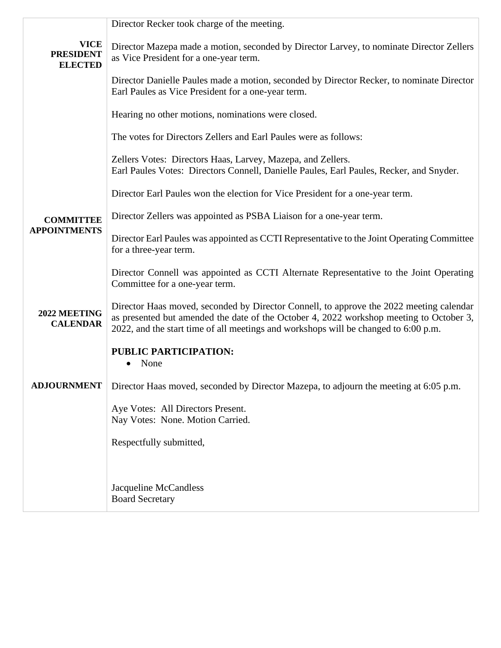|                                                   | Director Recker took charge of the meeting.                                                                                                                                                                                                                               |  |  |  |  |
|---------------------------------------------------|---------------------------------------------------------------------------------------------------------------------------------------------------------------------------------------------------------------------------------------------------------------------------|--|--|--|--|
| <b>VICE</b><br><b>PRESIDENT</b><br><b>ELECTED</b> | Director Mazepa made a motion, seconded by Director Larvey, to nominate Director Zellers<br>as Vice President for a one-year term.                                                                                                                                        |  |  |  |  |
|                                                   | Director Danielle Paules made a motion, seconded by Director Recker, to nominate Director<br>Earl Paules as Vice President for a one-year term.                                                                                                                           |  |  |  |  |
|                                                   | Hearing no other motions, nominations were closed.                                                                                                                                                                                                                        |  |  |  |  |
|                                                   | The votes for Directors Zellers and Earl Paules were as follows:                                                                                                                                                                                                          |  |  |  |  |
|                                                   | Zellers Votes: Directors Haas, Larvey, Mazepa, and Zellers.<br>Earl Paules Votes: Directors Connell, Danielle Paules, Earl Paules, Recker, and Snyder.                                                                                                                    |  |  |  |  |
|                                                   | Director Earl Paules won the election for Vice President for a one-year term.                                                                                                                                                                                             |  |  |  |  |
| <b>COMMITTEE</b><br><b>APPOINTMENTS</b>           | Director Zellers was appointed as PSBA Liaison for a one-year term.                                                                                                                                                                                                       |  |  |  |  |
|                                                   | Director Earl Paules was appointed as CCTI Representative to the Joint Operating Committee<br>for a three-year term.                                                                                                                                                      |  |  |  |  |
|                                                   | Director Connell was appointed as CCTI Alternate Representative to the Joint Operating<br>Committee for a one-year term.                                                                                                                                                  |  |  |  |  |
| 2022 MEETING<br><b>CALENDAR</b>                   | Director Haas moved, seconded by Director Connell, to approve the 2022 meeting calendar<br>as presented but amended the date of the October 4, 2022 workshop meeting to October 3,<br>2022, and the start time of all meetings and workshops will be changed to 6:00 p.m. |  |  |  |  |
|                                                   | <b>PUBLIC PARTICIPATION:</b><br>None                                                                                                                                                                                                                                      |  |  |  |  |
| <b>ADJOURNMENT</b>                                | Director Haas moved, seconded by Director Mazepa, to adjourn the meeting at 6:05 p.m.                                                                                                                                                                                     |  |  |  |  |
|                                                   | Aye Votes: All Directors Present.<br>Nay Votes: None. Motion Carried.                                                                                                                                                                                                     |  |  |  |  |
|                                                   | Respectfully submitted,                                                                                                                                                                                                                                                   |  |  |  |  |
|                                                   | Jacqueline McCandless<br><b>Board Secretary</b>                                                                                                                                                                                                                           |  |  |  |  |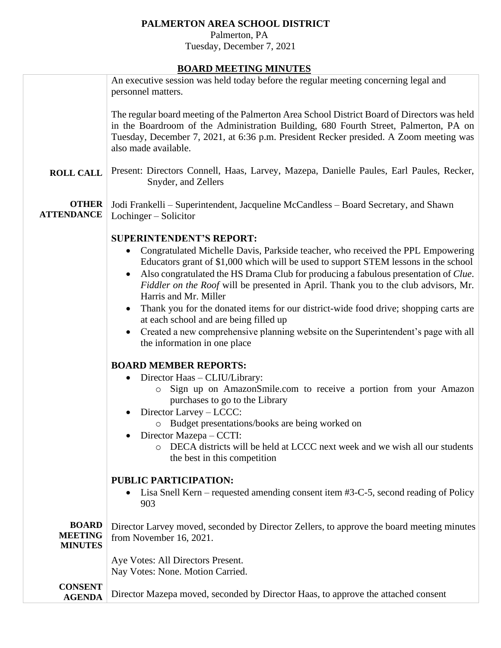## **PALMERTON AREA SCHOOL DISTRICT**

 Palmerton, PA Tuesday, December 7, 2021

## **BOARD MEETING MINUTES**

|                                                  | <b>BOAKD MEETING MINCTED</b>                                                                                                                                                                                                                                                                                                                                                                                                                                                                                                                                                                                                                                                                                                                    |
|--------------------------------------------------|-------------------------------------------------------------------------------------------------------------------------------------------------------------------------------------------------------------------------------------------------------------------------------------------------------------------------------------------------------------------------------------------------------------------------------------------------------------------------------------------------------------------------------------------------------------------------------------------------------------------------------------------------------------------------------------------------------------------------------------------------|
|                                                  | An executive session was held today before the regular meeting concerning legal and<br>personnel matters.                                                                                                                                                                                                                                                                                                                                                                                                                                                                                                                                                                                                                                       |
|                                                  | The regular board meeting of the Palmerton Area School District Board of Directors was held<br>in the Boardroom of the Administration Building, 680 Fourth Street, Palmerton, PA on<br>Tuesday, December 7, 2021, at 6:36 p.m. President Recker presided. A Zoom meeting was<br>also made available.                                                                                                                                                                                                                                                                                                                                                                                                                                            |
| <b>ROLL CALL</b>                                 | Present: Directors Connell, Haas, Larvey, Mazepa, Danielle Paules, Earl Paules, Recker,<br>Snyder, and Zellers                                                                                                                                                                                                                                                                                                                                                                                                                                                                                                                                                                                                                                  |
| <b>OTHER</b><br><b>ATTENDANCE</b>                | Jodi Frankelli - Superintendent, Jacqueline McCandless - Board Secretary, and Shawn<br>Lochinger – Solicitor                                                                                                                                                                                                                                                                                                                                                                                                                                                                                                                                                                                                                                    |
|                                                  | <b>SUPERINTENDENT'S REPORT:</b><br>Congratulated Michelle Davis, Parkside teacher, who received the PPL Empowering<br>$\bullet$<br>Educators grant of \$1,000 which will be used to support STEM lessons in the school<br>Also congratulated the HS Drama Club for producing a fabulous presentation of Clue.<br>$\bullet$<br>Fiddler on the Roof will be presented in April. Thank you to the club advisors, Mr.<br>Harris and Mr. Miller<br>Thank you for the donated items for our district-wide food drive; shopping carts are<br>at each school and are being filled up<br>Created a new comprehensive planning website on the Superintendent's page with all<br>$\bullet$<br>the information in one place<br><b>BOARD MEMBER REPORTS:</b> |
|                                                  | Director Haas - CLIU/Library:<br>Sign up on AmazonSmile.com to receive a portion from your Amazon<br>$\circ$<br>purchases to go to the Library<br>Director Larvey - LCCC:<br>Budget presentations/books are being worked on<br>$\circ$<br>• Director Mazepa $-$ CCTI:<br>O DECA districts will be held at LCCC next week and we wish all our students<br>the best in this competition                                                                                                                                                                                                                                                                                                                                                           |
|                                                  | PUBLIC PARTICIPATION:<br>Lisa Snell Kern – requested amending consent item #3-C-5, second reading of Policy<br>903                                                                                                                                                                                                                                                                                                                                                                                                                                                                                                                                                                                                                              |
| <b>BOARD</b><br><b>MEETING</b><br><b>MINUTES</b> | Director Larvey moved, seconded by Director Zellers, to approve the board meeting minutes<br>from November 16, 2021.                                                                                                                                                                                                                                                                                                                                                                                                                                                                                                                                                                                                                            |
|                                                  | Aye Votes: All Directors Present.<br>Nay Votes: None. Motion Carried.                                                                                                                                                                                                                                                                                                                                                                                                                                                                                                                                                                                                                                                                           |
| <b>CONSENT</b><br><b>AGENDA</b>                  | Director Mazepa moved, seconded by Director Haas, to approve the attached consent                                                                                                                                                                                                                                                                                                                                                                                                                                                                                                                                                                                                                                                               |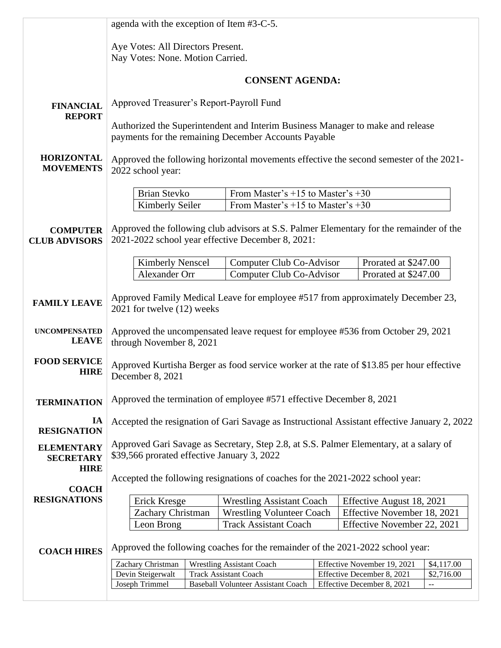|                                       | agenda with the exception of Item #3-C-5.                                                                    |                                                                                |  |                                                                                                                         |  |  |
|---------------------------------------|--------------------------------------------------------------------------------------------------------------|--------------------------------------------------------------------------------|--|-------------------------------------------------------------------------------------------------------------------------|--|--|
|                                       | Aye Votes: All Directors Present.                                                                            |                                                                                |  |                                                                                                                         |  |  |
|                                       | Nay Votes: None. Motion Carried.                                                                             |                                                                                |  |                                                                                                                         |  |  |
|                                       |                                                                                                              | <b>CONSENT AGENDA:</b>                                                         |  |                                                                                                                         |  |  |
|                                       |                                                                                                              |                                                                                |  |                                                                                                                         |  |  |
| <b>FINANCIAL</b>                      | Approved Treasurer's Report-Payroll Fund                                                                     |                                                                                |  |                                                                                                                         |  |  |
| <b>REPORT</b>                         | Authorized the Superintendent and Interim Business Manager to make and release                               |                                                                                |  |                                                                                                                         |  |  |
|                                       | payments for the remaining December Accounts Payable                                                         |                                                                                |  |                                                                                                                         |  |  |
| <b>HORIZONTAL</b>                     | Approved the following horizontal movements effective the second semester of the 2021-                       |                                                                                |  |                                                                                                                         |  |  |
| <b>MOVEMENTS</b>                      | 2022 school year:                                                                                            |                                                                                |  |                                                                                                                         |  |  |
|                                       |                                                                                                              |                                                                                |  |                                                                                                                         |  |  |
|                                       | <b>Brian Stevko</b><br>Kimberly Seiler                                                                       | From Master's $+15$ to Master's $+30$<br>From Master's $+15$ to Master's $+30$ |  |                                                                                                                         |  |  |
|                                       |                                                                                                              |                                                                                |  |                                                                                                                         |  |  |
| <b>COMPUTER</b>                       |                                                                                                              |                                                                                |  | Approved the following club advisors at S.S. Palmer Elementary for the remainder of the                                 |  |  |
| <b>CLUB ADVISORS</b>                  | 2021-2022 school year effective December 8, 2021:                                                            |                                                                                |  |                                                                                                                         |  |  |
|                                       | <b>Kimberly Nenscel</b>                                                                                      | Computer Club Co-Advisor                                                       |  | Prorated at \$247.00                                                                                                    |  |  |
|                                       | Alexander Orr                                                                                                | Computer Club Co-Advisor                                                       |  | Prorated at \$247.00                                                                                                    |  |  |
|                                       |                                                                                                              |                                                                                |  | Approved Family Medical Leave for employee #517 from approximately December 23,                                         |  |  |
| <b>FAMILY LEAVE</b>                   | 2021 for twelve (12) weeks                                                                                   |                                                                                |  |                                                                                                                         |  |  |
| <b>UNCOMPENSATED</b>                  |                                                                                                              |                                                                                |  |                                                                                                                         |  |  |
| <b>LEAVE</b>                          | Approved the uncompensated leave request for employee #536 from October 29, 2021<br>through November 8, 2021 |                                                                                |  |                                                                                                                         |  |  |
| <b>FOOD SERVICE</b>                   | Approved Kurtisha Berger as food service worker at the rate of \$13.85 per hour effective                    |                                                                                |  |                                                                                                                         |  |  |
| <b>HIRE</b>                           | December 8, 2021                                                                                             |                                                                                |  |                                                                                                                         |  |  |
|                                       |                                                                                                              |                                                                                |  |                                                                                                                         |  |  |
| <b>TERMINATION</b>                    | Approved the termination of employee #571 effective December 8, 2021                                         |                                                                                |  |                                                                                                                         |  |  |
| IA                                    | Accepted the resignation of Gari Savage as Instructional Assistant effective January 2, 2022                 |                                                                                |  |                                                                                                                         |  |  |
| <b>RESIGNATION</b>                    | Approved Gari Savage as Secretary, Step 2.8, at S.S. Palmer Elementary, at a salary of                       |                                                                                |  |                                                                                                                         |  |  |
| <b>ELEMENTARY</b><br><b>SECRETARY</b> | \$39,566 prorated effective January 3, 2022                                                                  |                                                                                |  |                                                                                                                         |  |  |
| <b>HIRE</b>                           |                                                                                                              |                                                                                |  |                                                                                                                         |  |  |
| <b>COACH</b>                          | Accepted the following resignations of coaches for the 2021-2022 school year:                                |                                                                                |  |                                                                                                                         |  |  |
| <b>RESIGNATIONS</b>                   | Erick Kresge                                                                                                 | <b>Wrestling Assistant Coach</b>                                               |  | Effective August 18, 2021                                                                                               |  |  |
|                                       | Zachary Christman                                                                                            | <b>Wrestling Volunteer Coach</b>                                               |  | Effective November 18, 2021                                                                                             |  |  |
|                                       | Leon Brong                                                                                                   | <b>Track Assistant Coach</b>                                                   |  | Effective November 22, 2021                                                                                             |  |  |
| <b>COACH HIRES</b>                    | Approved the following coaches for the remainder of the 2021-2022 school year:                               |                                                                                |  |                                                                                                                         |  |  |
|                                       | Zachary Christman                                                                                            | <b>Wrestling Assistant Coach</b>                                               |  | Effective November 19, 2021<br>\$4,117.00                                                                               |  |  |
|                                       | Devin Steigerwalt<br>Joseph Trimmel                                                                          | <b>Track Assistant Coach</b><br><b>Baseball Volunteer Assistant Coach</b>      |  | Effective December 8, 2021<br>\$2,716.00<br>Effective December 8, 2021<br>$\mathord{\hspace{1pt}\text{--}\hspace{1pt}}$ |  |  |
|                                       |                                                                                                              |                                                                                |  |                                                                                                                         |  |  |